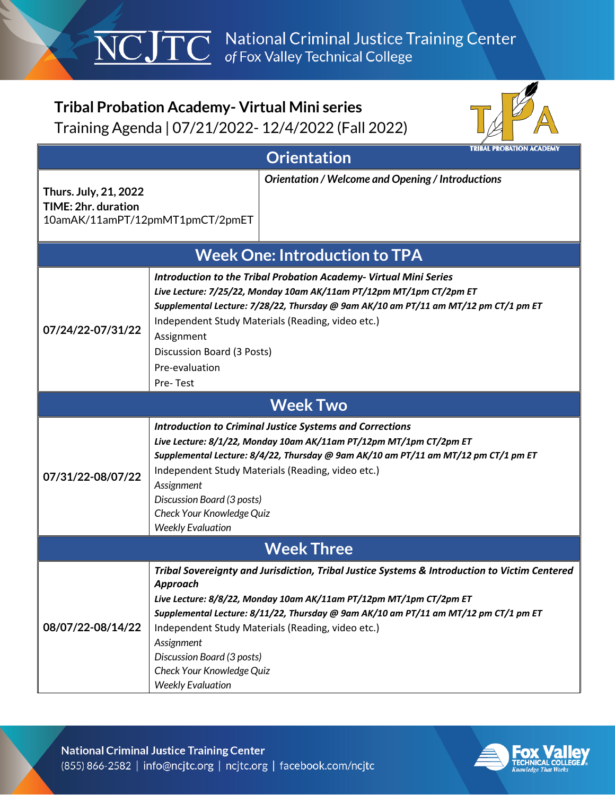$\overline{\text{NCJTC}}$  National Criminal Justice Training Center

## **Tribal Probation Academy- Virtual Mini series**  Training Agenda | 07/21/2022- 12/4/2022 (Fall 2022)



| <b>TRIBAL PROBATION ACADEMY</b><br><b>Orientation</b> |                                                                                                                                                                                                                                                                                                                                                                                                                                  |  |
|-------------------------------------------------------|----------------------------------------------------------------------------------------------------------------------------------------------------------------------------------------------------------------------------------------------------------------------------------------------------------------------------------------------------------------------------------------------------------------------------------|--|
| Thurs. July, 21, 2022<br>TIME: 2hr. duration          | Orientation / Welcome and Opening / Introductions<br>10amAK/11amPT/12pmMT1pmCT/2pmET                                                                                                                                                                                                                                                                                                                                             |  |
| <b>Week One: Introduction to TPA</b>                  |                                                                                                                                                                                                                                                                                                                                                                                                                                  |  |
| 07/24/22-07/31/22                                     | <b>Introduction to the Tribal Probation Academy- Virtual Mini Series</b><br>Live Lecture: 7/25/22, Monday 10am AK/11am PT/12pm MT/1pm CT/2pm ET<br>Supplemental Lecture: 7/28/22, Thursday @ 9am AK/10 am PT/11 am MT/12 pm CT/1 pm ET<br>Independent Study Materials (Reading, video etc.)<br>Assignment<br>Discussion Board (3 Posts)<br>Pre-evaluation<br>Pre-Test                                                            |  |
|                                                       | <b>Week Two</b>                                                                                                                                                                                                                                                                                                                                                                                                                  |  |
| 07/31/22-08/07/22                                     | <b>Introduction to Criminal Justice Systems and Corrections</b><br>Live Lecture: 8/1/22, Monday 10am AK/11am PT/12pm MT/1pm CT/2pm ET<br>Supplemental Lecture: 8/4/22, Thursday @ 9am AK/10 am PT/11 am MT/12 pm CT/1 pm ET<br>Independent Study Materials (Reading, video etc.)<br>Assignment<br>Discussion Board (3 posts)<br>Check Your Knowledge Quiz<br><b>Weekly Evaluation</b>                                            |  |
| <b>Week Three</b>                                     |                                                                                                                                                                                                                                                                                                                                                                                                                                  |  |
| 08/07/22-08/14/22                                     | Tribal Sovereignty and Jurisdiction, Tribal Justice Systems & Introduction to Victim Centered<br>Approach<br>Live Lecture: 8/8/22, Monday 10am AK/11am PT/12pm MT/1pm CT/2pm ET<br>Supplemental Lecture: 8/11/22, Thursday @ 9am AK/10 am PT/11 am MT/12 pm CT/1 pm ET<br>Independent Study Materials (Reading, video etc.)<br>Assignment<br>Discussion Board (3 posts)<br>Check Your Knowledge Quiz<br><b>Weekly Evaluation</b> |  |

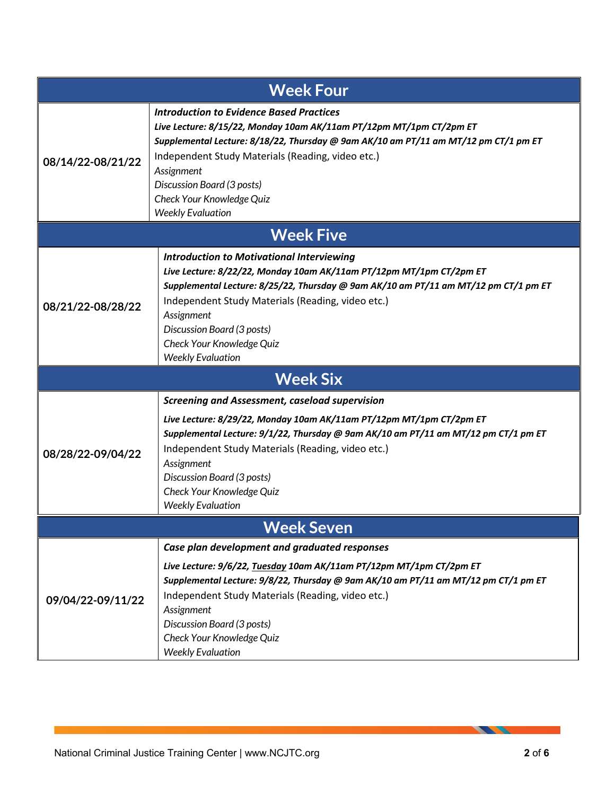| <b>Week Four</b>  |                                                                                                                                                                                                                                                                                                                                                                              |  |
|-------------------|------------------------------------------------------------------------------------------------------------------------------------------------------------------------------------------------------------------------------------------------------------------------------------------------------------------------------------------------------------------------------|--|
| 08/14/22-08/21/22 | <b>Introduction to Evidence Based Practices</b><br>Live Lecture: 8/15/22, Monday 10am AK/11am PT/12pm MT/1pm CT/2pm ET<br>Supplemental Lecture: 8/18/22, Thursday @ 9am AK/10 am PT/11 am MT/12 pm CT/1 pm ET<br>Independent Study Materials (Reading, video etc.)<br>Assignment<br>Discussion Board (3 posts)<br>Check Your Knowledge Quiz<br><b>Weekly Evaluation</b>      |  |
| <b>Week Five</b>  |                                                                                                                                                                                                                                                                                                                                                                              |  |
| 08/21/22-08/28/22 | <b>Introduction to Motivational Interviewing</b><br>Live Lecture: 8/22/22, Monday 10am AK/11am PT/12pm MT/1pm CT/2pm ET<br>Supplemental Lecture: 8/25/22, Thursday @ 9am AK/10 am PT/11 am MT/12 pm CT/1 pm ET<br>Independent Study Materials (Reading, video etc.)<br>Assignment<br>Discussion Board (3 posts)<br>Check Your Knowledge Quiz<br><b>Weekly Evaluation</b>     |  |
|                   | <b>Week Six</b>                                                                                                                                                                                                                                                                                                                                                              |  |
| 08/28/22-09/04/22 | <b>Screening and Assessment, caseload supervision</b><br>Live Lecture: 8/29/22, Monday 10am AK/11am PT/12pm MT/1pm CT/2pm ET<br>Supplemental Lecture: 9/1/22, Thursday @ 9am AK/10 am PT/11 am MT/12 pm CT/1 pm ET<br>Independent Study Materials (Reading, video etc.)<br>Assignment<br>Discussion Board (3 posts)<br>Check Your Knowledge Quiz<br><b>Weekly Evaluation</b> |  |
| <b>Week Seven</b> |                                                                                                                                                                                                                                                                                                                                                                              |  |
| 09/04/22-09/11/22 | Case plan development and graduated responses<br>Live Lecture: 9/6/22, Tuesday 10am AK/11am PT/12pm MT/1pm CT/2pm ET<br>Supplemental Lecture: 9/8/22, Thursday @ 9am AK/10 am PT/11 am MT/12 pm CT/1 pm ET<br>Independent Study Materials (Reading, video etc.)<br>Assignment<br>Discussion Board (3 posts)<br>Check Your Knowledge Quiz<br><b>Weekly Evaluation</b>         |  |

**STATE**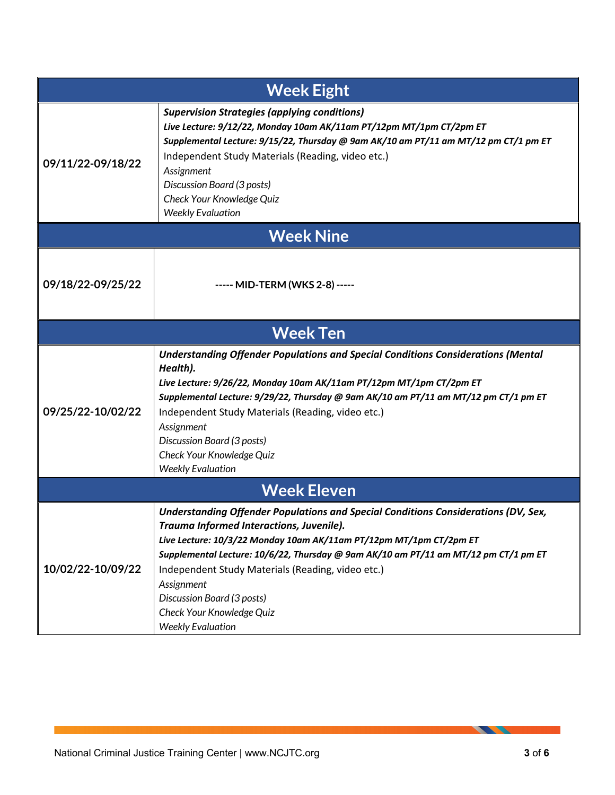| <b>Week Eight</b>  |                                                                                                                                                                                                                                                                                                                                                                                                                                                       |  |
|--------------------|-------------------------------------------------------------------------------------------------------------------------------------------------------------------------------------------------------------------------------------------------------------------------------------------------------------------------------------------------------------------------------------------------------------------------------------------------------|--|
| 09/11/22-09/18/22  | <b>Supervision Strategies (applying conditions)</b><br>Live Lecture: 9/12/22, Monday 10am AK/11am PT/12pm MT/1pm CT/2pm ET<br>Supplemental Lecture: 9/15/22, Thursday @ 9am AK/10 am PT/11 am MT/12 pm CT/1 pm ET<br>Independent Study Materials (Reading, video etc.)<br>Assignment<br>Discussion Board (3 posts)<br>Check Your Knowledge Quiz<br><b>Weekly Evaluation</b>                                                                           |  |
| <b>Week Nine</b>   |                                                                                                                                                                                                                                                                                                                                                                                                                                                       |  |
| 09/18/22-09/25/22  | ----- MID-TERM (WKS 2-8) -----                                                                                                                                                                                                                                                                                                                                                                                                                        |  |
|                    | <b>Week Ten</b>                                                                                                                                                                                                                                                                                                                                                                                                                                       |  |
| 09/25/22-10/02/22  | <b>Understanding Offender Populations and Special Conditions Considerations (Mental</b><br>Health).<br>Live Lecture: 9/26/22, Monday 10am AK/11am PT/12pm MT/1pm CT/2pm ET<br>Supplemental Lecture: 9/29/22, Thursday @ 9am AK/10 am PT/11 am MT/12 pm CT/1 pm ET<br>Independent Study Materials (Reading, video etc.)<br>Assignment<br>Discussion Board (3 posts)<br>Check Your Knowledge Quiz<br><b>Weekly Evaluation</b>                           |  |
| <b>Week Eleven</b> |                                                                                                                                                                                                                                                                                                                                                                                                                                                       |  |
| 10/02/22-10/09/22  | Understanding Offender Populations and Special Conditions Considerations (DV, Sex,<br>Trauma Informed Interactions, Juvenile).<br>Live Lecture: 10/3/22 Monday 10am AK/11am PT/12pm MT/1pm CT/2pm ET<br>Supplemental Lecture: 10/6/22, Thursday @ 9am AK/10 am PT/11 am MT/12 pm CT/1 pm ET<br>Independent Study Materials (Reading, video etc.)<br>Assignment<br>Discussion Board (3 posts)<br>Check Your Knowledge Quiz<br><b>Weekly Evaluation</b> |  |

**START OF STRAIN**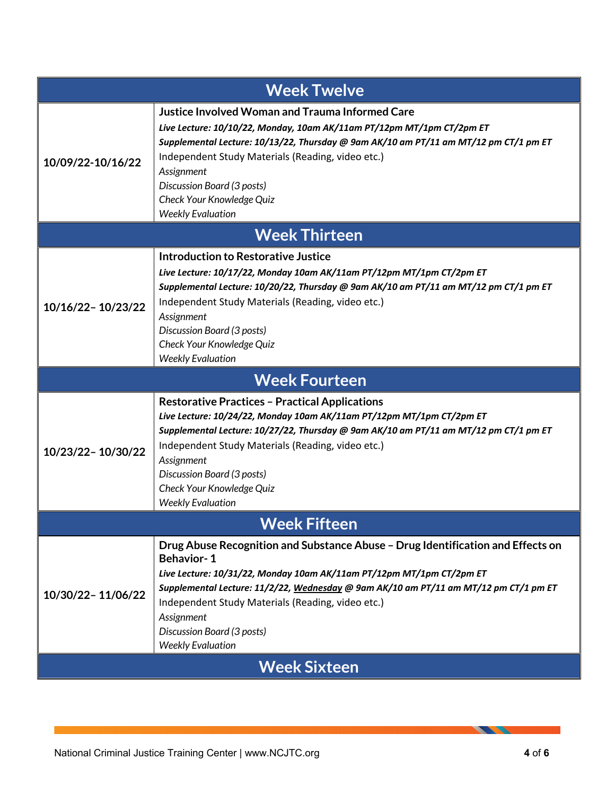| <b>Week Twelve</b>   |                                                                                                                                                                                                                                                                                                                                                                                                   |  |
|----------------------|---------------------------------------------------------------------------------------------------------------------------------------------------------------------------------------------------------------------------------------------------------------------------------------------------------------------------------------------------------------------------------------------------|--|
| 10/09/22-10/16/22    | <b>Justice Involved Woman and Trauma Informed Care</b><br>Live Lecture: 10/10/22, Monday, 10am AK/11am PT/12pm MT/1pm CT/2pm ET<br>Supplemental Lecture: 10/13/22, Thursday @ 9am AK/10 am PT/11 am MT/12 pm CT/1 pm ET<br>Independent Study Materials (Reading, video etc.)<br>Assignment<br>Discussion Board (3 posts)<br>Check Your Knowledge Quiz<br><b>Weekly Evaluation</b>                 |  |
| <b>Week Thirteen</b> |                                                                                                                                                                                                                                                                                                                                                                                                   |  |
| 10/16/22-10/23/22    | <b>Introduction to Restorative Justice</b><br>Live Lecture: 10/17/22, Monday 10am AK/11am PT/12pm MT/1pm CT/2pm ET<br>Supplemental Lecture: 10/20/22, Thursday @ 9am AK/10 am PT/11 am MT/12 pm CT/1 pm ET<br>Independent Study Materials (Reading, video etc.)<br>Assignment<br>Discussion Board (3 posts)<br>Check Your Knowledge Quiz<br><b>Weekly Evaluation</b>                              |  |
|                      | <b>Week Fourteen</b>                                                                                                                                                                                                                                                                                                                                                                              |  |
| 10/23/22-10/30/22    | <b>Restorative Practices - Practical Applications</b><br>Live Lecture: 10/24/22, Monday 10am AK/11am PT/12pm MT/1pm CT/2pm ET<br>Supplemental Lecture: 10/27/22, Thursday @ 9am AK/10 am PT/11 am MT/12 pm CT/1 pm ET<br>Independent Study Materials (Reading, video etc.)<br>Assignment<br>Discussion Board (3 posts)<br>Check Your Knowledge Quiz<br><b>Weekly Evaluation</b>                   |  |
| <b>Week Fifteen</b>  |                                                                                                                                                                                                                                                                                                                                                                                                   |  |
| 10/30/22-11/06/22    | Drug Abuse Recognition and Substance Abuse - Drug Identification and Effects on<br><b>Behavior-1</b><br>Live Lecture: 10/31/22, Monday 10am AK/11am PT/12pm MT/1pm CT/2pm ET<br>Supplemental Lecture: 11/2/22, Wednesday @ 9am AK/10 am PT/11 am MT/12 pm CT/1 pm ET<br>Independent Study Materials (Reading, video etc.)<br>Assignment<br>Discussion Board (3 posts)<br><b>Weekly Evaluation</b> |  |
| <b>Week Sixteen</b>  |                                                                                                                                                                                                                                                                                                                                                                                                   |  |

**STATISTICS**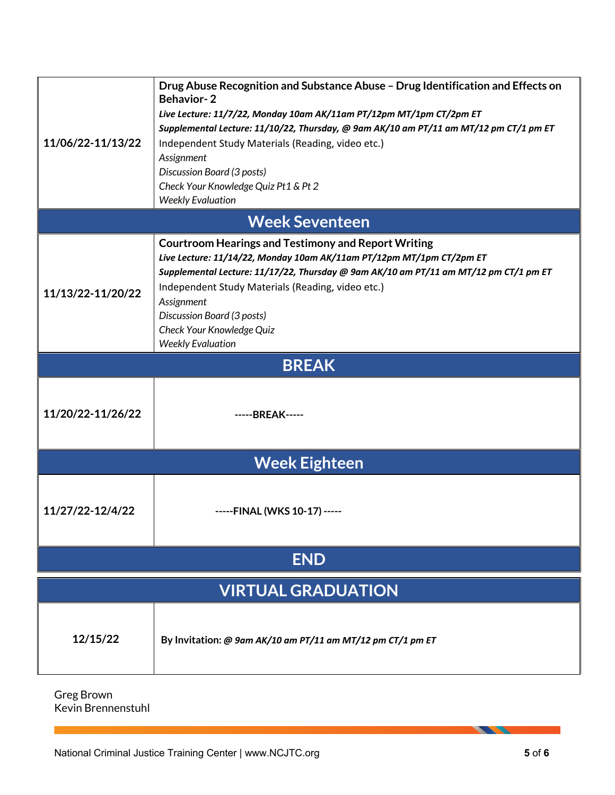| 11/06/22-11/13/22         | Drug Abuse Recognition and Substance Abuse - Drug Identification and Effects on<br><b>Behavior-2</b><br>Live Lecture: 11/7/22, Monday 10am AK/11am PT/12pm MT/1pm CT/2pm ET<br>Supplemental Lecture: 11/10/22, Thursday, @ 9am AK/10 am PT/11 am MT/12 pm CT/1 pm ET<br>Independent Study Materials (Reading, video etc.)<br>Assignment<br>Discussion Board (3 posts)<br>Check Your Knowledge Quiz Pt1 & Pt 2<br><b>Weekly Evaluation</b> |  |
|---------------------------|-------------------------------------------------------------------------------------------------------------------------------------------------------------------------------------------------------------------------------------------------------------------------------------------------------------------------------------------------------------------------------------------------------------------------------------------|--|
|                           | <b>Week Seventeen</b>                                                                                                                                                                                                                                                                                                                                                                                                                     |  |
| 11/13/22-11/20/22         | <b>Courtroom Hearings and Testimony and Report Writing</b><br>Live Lecture: 11/14/22, Monday 10am AK/11am PT/12pm MT/1pm CT/2pm ET<br>Supplemental Lecture: 11/17/22, Thursday @ 9am AK/10 am PT/11 am MT/12 pm CT/1 pm ET<br>Independent Study Materials (Reading, video etc.)<br>Assignment<br>Discussion Board (3 posts)<br>Check Your Knowledge Quiz<br><b>Weekly Evaluation</b>                                                      |  |
|                           | <b>BREAK</b>                                                                                                                                                                                                                                                                                                                                                                                                                              |  |
| 11/20/22-11/26/22         | -----BREAK-----                                                                                                                                                                                                                                                                                                                                                                                                                           |  |
|                           | <b>Week Eighteen</b>                                                                                                                                                                                                                                                                                                                                                                                                                      |  |
| 11/27/22-12/4/22          | -----FINAL (WKS 10-17) -----                                                                                                                                                                                                                                                                                                                                                                                                              |  |
| <b>END</b>                |                                                                                                                                                                                                                                                                                                                                                                                                                                           |  |
| <b>VIRTUAL GRADUATION</b> |                                                                                                                                                                                                                                                                                                                                                                                                                                           |  |
| 12/15/22                  | By Invitation: @ 9am AK/10 am PT/11 am MT/12 pm CT/1 pm ET                                                                                                                                                                                                                                                                                                                                                                                |  |

Greg Brown Kevin Brennenstuhl